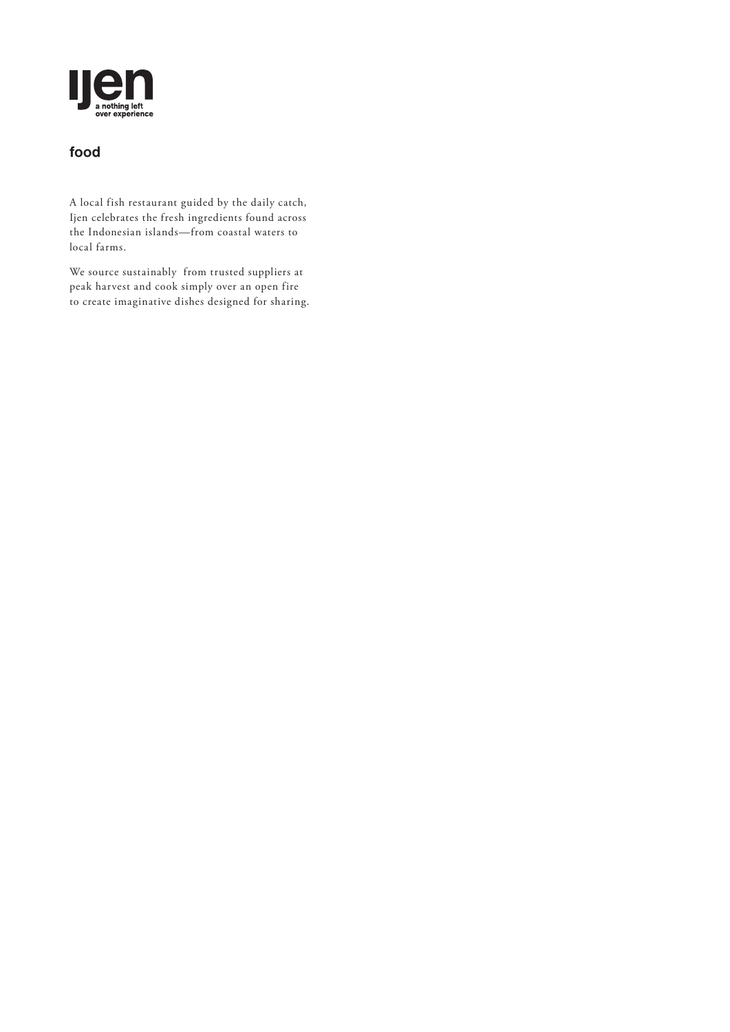

## **food**

A local fish restaurant guided by the daily catch, Ijen celebrates the fresh ingredients found across the Indonesian islands—from coastal waters to local farms.

We source sustainably from trusted suppliers at peak harvest and cook simply over an open fire to create imaginative dishes designed for sharing.